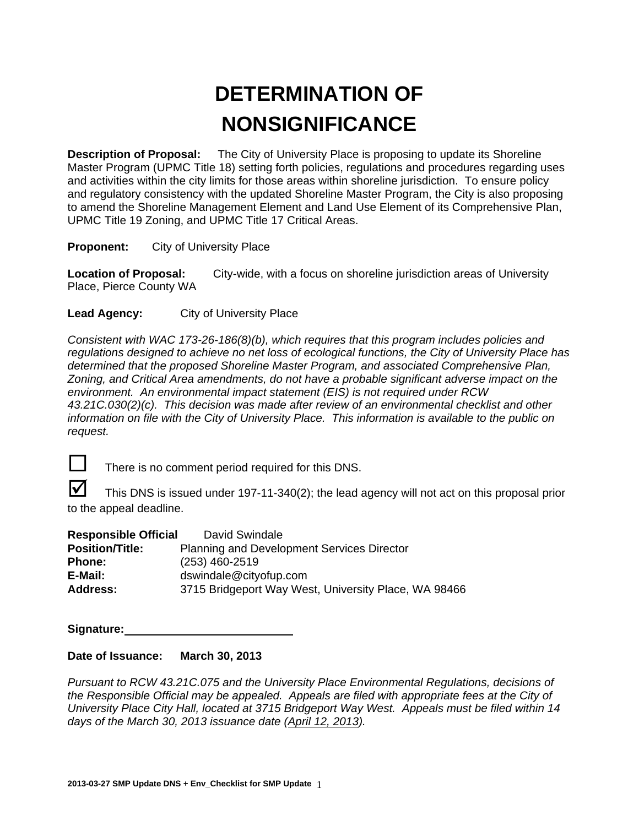# **DETERMINATION OF NONSIGNIFICANCE**

**Description of Proposal:** The City of University Place is proposing to update its Shoreline Master Program (UPMC Title 18) setting forth policies, regulations and procedures regarding uses and activities within the city limits for those areas within shoreline jurisdiction. To ensure policy and regulatory consistency with the updated Shoreline Master Program, the City is also proposing to amend the Shoreline Management Element and Land Use Element of its Comprehensive Plan, UPMC Title 19 Zoning, and UPMC Title 17 Critical Areas.

**Proponent:** City of University Place

**Location of Proposal:** City-wide, with a focus on shoreline jurisdiction areas of University Place, Pierce County WA

**Lead Agency:** City of University Place

*Consistent with WAC 173-26-186(8)(b), which requires that this program includes policies and regulations designed to achieve no net loss of ecological functions, the City of University Place has determined that the proposed Shoreline Master Program, and associated Comprehensive Plan, Zoning, and Critical Area amendments, do not have a probable significant adverse impact on the environment. An environmental impact statement (EIS) is not required under RCW 43.21C.030(2)(c). This decision was made after review of an environmental checklist and other information on file with the City of University Place. This information is available to the public on request.* 



There is no comment period required for this DNS.

 This DNS is issued under 197-11-340(2); the lead agency will not act on this proposal prior to the appeal deadline.

| <b>Responsible Official</b> | David Swindale                                       |
|-----------------------------|------------------------------------------------------|
| <b>Position/Title:</b>      | <b>Planning and Development Services Director</b>    |
| <b>Phone:</b>               | $(253)$ 460-2519                                     |
| E-Mail:                     | dswindale@cityofup.com                               |
| <b>Address:</b>             | 3715 Bridgeport Way West, University Place, WA 98466 |

**Signature:** 

## **Date of Issuance: March 30, 2013**

*Pursuant to RCW 43.21C.075 and the University Place Environmental Regulations, decisions of the Responsible Official may be appealed. Appeals are filed with appropriate fees at the City of University Place City Hall, located at 3715 Bridgeport Way West. Appeals must be filed within 14 days of the March 30, 2013 issuance date (April 12, 2013).*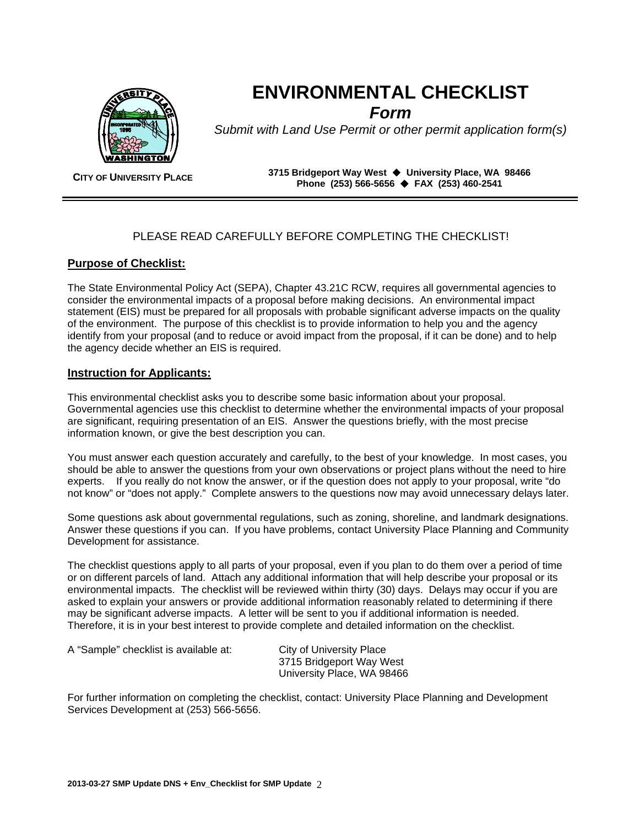

**ENVIRONMENTAL CHECKLIST**  *Form*

*Submit with Land Use Permit or other permit application form(s)* 

**CITY OF UNIVERSITY PLACE 3715 Bridgeport Way West University Place, WA 98466 Phone (253) 566-5656 FAX (253) 460-2541**

## PLEASE READ CAREFULLY BEFORE COMPLETING THE CHECKLIST!

## **Purpose of Checklist:**

The State Environmental Policy Act (SEPA), Chapter 43.21C RCW, requires all governmental agencies to consider the environmental impacts of a proposal before making decisions. An environmental impact statement (EIS) must be prepared for all proposals with probable significant adverse impacts on the quality of the environment. The purpose of this checklist is to provide information to help you and the agency identify from your proposal (and to reduce or avoid impact from the proposal, if it can be done) and to help the agency decide whether an EIS is required.

## **Instruction for Applicants:**

This environmental checklist asks you to describe some basic information about your proposal. Governmental agencies use this checklist to determine whether the environmental impacts of your proposal are significant, requiring presentation of an EIS. Answer the questions briefly, with the most precise information known, or give the best description you can.

You must answer each question accurately and carefully, to the best of your knowledge. In most cases, you should be able to answer the questions from your own observations or project plans without the need to hire experts. If you really do not know the answer, or if the question does not apply to your proposal, write "do not know" or "does not apply." Complete answers to the questions now may avoid unnecessary delays later.

Some questions ask about governmental regulations, such as zoning, shoreline, and landmark designations. Answer these questions if you can. If you have problems, contact University Place Planning and Community Development for assistance.

The checklist questions apply to all parts of your proposal, even if you plan to do them over a period of time or on different parcels of land. Attach any additional information that will help describe your proposal or its environmental impacts. The checklist will be reviewed within thirty (30) days. Delays may occur if you are asked to explain your answers or provide additional information reasonably related to determining if there may be significant adverse impacts. A letter will be sent to you if additional information is needed. Therefore, it is in your best interest to provide complete and detailed information on the checklist.

A "Sample" checklist is available at: City of University Place

3715 Bridgeport Way West University Place, WA 98466

For further information on completing the checklist, contact: University Place Planning and Development Services Development at (253) 566-5656.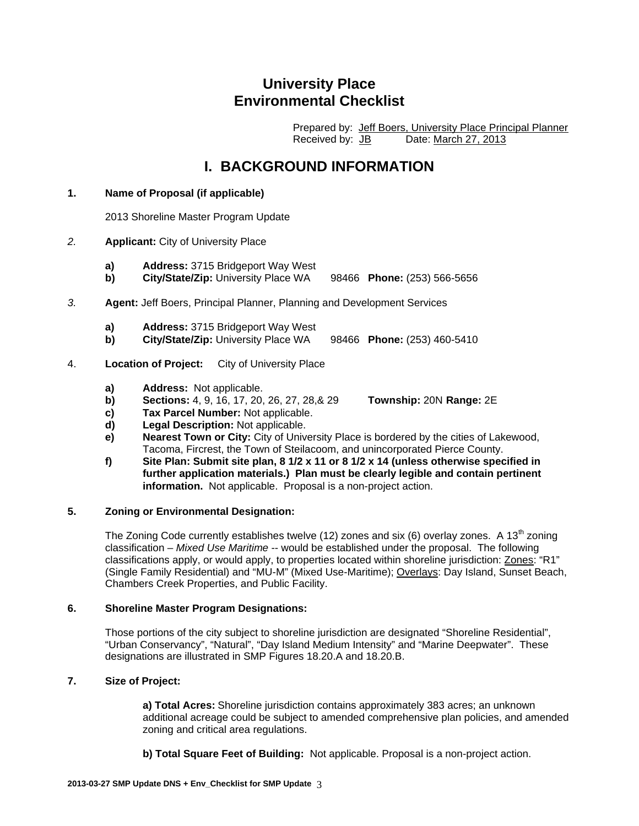## **University Place Environmental Checklist**

 Prepared by: Jeff Boers, University Place Principal Planner Received by: JB Date: March 27, 2013

## **I. BACKGROUND INFORMATION**

#### **1. Name of Proposal (if applicable)**

2013 Shoreline Master Program Update

- *2.* **Applicant:** City of University Place
	- **a) Address:** 3715 Bridgeport Way West
	- **b) City/State/Zip:** University Place WA 98466 **Phone:** (253) 566-5656
- *3.* **Agent:** Jeff Boers, Principal Planner, Planning and Development Services
	- **a) Address:** 3715 Bridgeport Way West
	- **b) City/State/Zip:** University Place WA 98466 **Phone:** (253) 460-5410
- 4. **Location of Project:** City of University Place
	- **a) Address:** Not applicable.
	- **b) Sections:** 4, 9, 16, 17, 20, 26, 27, 28,& 29 **Township:** 20N **Range:** 2E
	- **c) Tax Parcel Number:** Not applicable.
	- **d) Legal Description:** Not applicable.
	- **e) Nearest Town or City:** City of University Place is bordered by the cities of Lakewood, Tacoma, Fircrest, the Town of Steilacoom, and unincorporated Pierce County.
	- **f) Site Plan: Submit site plan, 8 1/2 x 11 or 8 1/2 x 14 (unless otherwise specified in further application materials.) Plan must be clearly legible and contain pertinent information.** Not applicable. Proposal is a non-project action.

#### **5. Zoning or Environmental Designation:**

The Zoning Code currently establishes twelve (12) zones and six (6) overlay zones. A 13<sup>th</sup> zoning classification – *Mixed Use Maritime* -- would be established under the proposal. The following classifications apply, or would apply, to properties located within shoreline jurisdiction: Zones: "R1" (Single Family Residential) and "MU-M" (Mixed Use-Maritime); Overlays: Day Island, Sunset Beach, Chambers Creek Properties, and Public Facility.

#### **6. Shoreline Master Program Designations:**

Those portions of the city subject to shoreline jurisdiction are designated "Shoreline Residential", "Urban Conservancy", "Natural", "Day Island Medium Intensity" and "Marine Deepwater". These designations are illustrated in SMP Figures 18.20.A and 18.20.B.

#### **7. Size of Project:**

**a) Total Acres:** Shoreline jurisdiction contains approximately 383 acres; an unknown additional acreage could be subject to amended comprehensive plan policies, and amended zoning and critical area regulations.

**b) Total Square Feet of Building:** Not applicable. Proposal is a non-project action.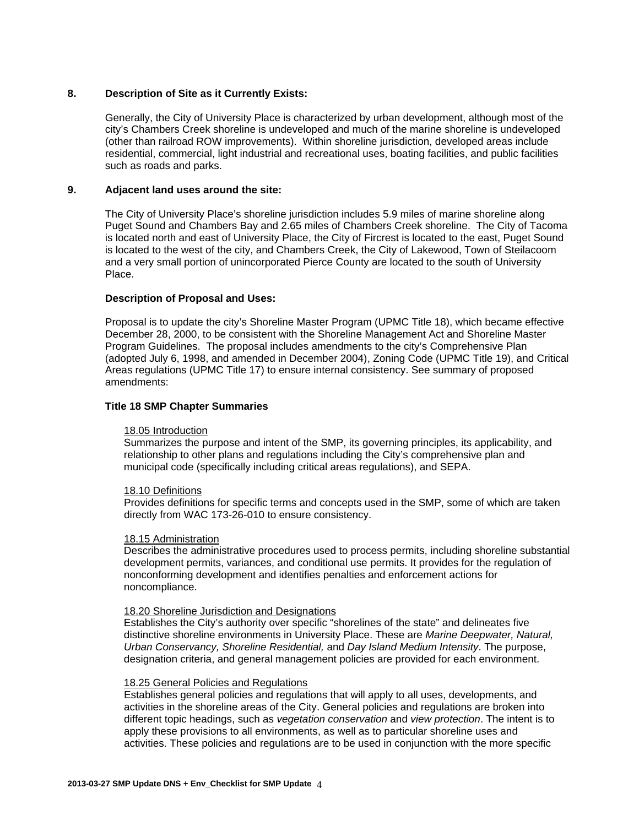#### **8. Description of Site as it Currently Exists:**

Generally, the City of University Place is characterized by urban development, although most of the city's Chambers Creek shoreline is undeveloped and much of the marine shoreline is undeveloped (other than railroad ROW improvements). Within shoreline jurisdiction, developed areas include residential, commercial, light industrial and recreational uses, boating facilities, and public facilities such as roads and parks.

#### **9. Adjacent land uses around the site:**

The City of University Place's shoreline jurisdiction includes 5.9 miles of marine shoreline along Puget Sound and Chambers Bay and 2.65 miles of Chambers Creek shoreline. The City of Tacoma is located north and east of University Place, the City of Fircrest is located to the east, Puget Sound is located to the west of the city, and Chambers Creek, the City of Lakewood, Town of Steilacoom and a very small portion of unincorporated Pierce County are located to the south of University Place.

#### **Description of Proposal and Uses:**

Proposal is to update the city's Shoreline Master Program (UPMC Title 18), which became effective December 28, 2000, to be consistent with the Shoreline Management Act and Shoreline Master Program Guidelines. The proposal includes amendments to the city's Comprehensive Plan (adopted July 6, 1998, and amended in December 2004), Zoning Code (UPMC Title 19), and Critical Areas regulations (UPMC Title 17) to ensure internal consistency. See summary of proposed amendments:

#### **Title 18 SMP Chapter Summaries**

#### 18.05 Introduction

Summarizes the purpose and intent of the SMP, its governing principles, its applicability, and relationship to other plans and regulations including the City's comprehensive plan and municipal code (specifically including critical areas regulations), and SEPA.

#### 18.10 Definitions

Provides definitions for specific terms and concepts used in the SMP, some of which are taken directly from WAC 173-26-010 to ensure consistency.

#### 18.15 Administration

Describes the administrative procedures used to process permits, including shoreline substantial development permits, variances, and conditional use permits. It provides for the regulation of nonconforming development and identifies penalties and enforcement actions for noncompliance.

#### 18.20 Shoreline Jurisdiction and Designations

Establishes the City's authority over specific "shorelines of the state" and delineates five distinctive shoreline environments in University Place. These are *Marine Deepwater, Natural, Urban Conservancy, Shoreline Residential,* and *Day Island Medium Intensity*. The purpose, designation criteria, and general management policies are provided for each environment.

#### 18.25 General Policies and Regulations

Establishes general policies and regulations that will apply to all uses, developments, and activities in the shoreline areas of the City. General policies and regulations are broken into different topic headings, such as *vegetation conservation* and *view protection*. The intent is to apply these provisions to all environments, as well as to particular shoreline uses and activities. These policies and regulations are to be used in conjunction with the more specific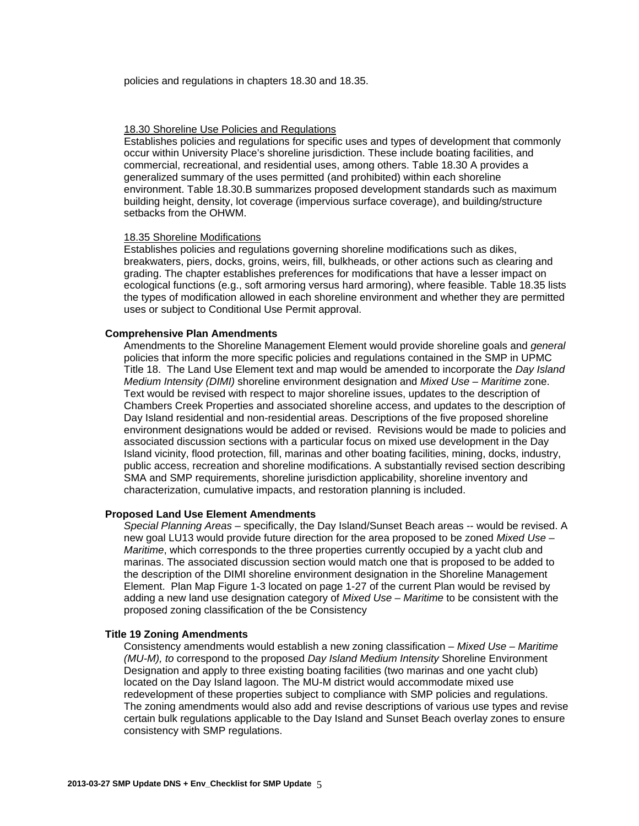policies and regulations in chapters 18.30 and 18.35.

#### 18.30 Shoreline Use Policies and Regulations

Establishes policies and regulations for specific uses and types of development that commonly occur within University Place's shoreline jurisdiction. These include boating facilities, and commercial, recreational, and residential uses, among others. Table 18.30 A provides a generalized summary of the uses permitted (and prohibited) within each shoreline environment. Table 18.30.B summarizes proposed development standards such as maximum building height, density, lot coverage (impervious surface coverage), and building/structure setbacks from the OHWM.

#### 18.35 Shoreline Modifications

Establishes policies and regulations governing shoreline modifications such as dikes, breakwaters, piers, docks, groins, weirs, fill, bulkheads, or other actions such as clearing and grading. The chapter establishes preferences for modifications that have a lesser impact on ecological functions (e.g., soft armoring versus hard armoring), where feasible. Table 18.35 lists the types of modification allowed in each shoreline environment and whether they are permitted uses or subject to Conditional Use Permit approval.

#### **Comprehensive Plan Amendments**

Amendments to the Shoreline Management Element would provide shoreline goals and *general*  policies that inform the more specific policies and regulations contained in the SMP in UPMC Title 18. The Land Use Element text and map would be amended to incorporate the *Day Island Medium Intensity (DIMI)* shoreline environment designation and *Mixed Use – Maritime* zone. Text would be revised with respect to major shoreline issues, updates to the description of Chambers Creek Properties and associated shoreline access, and updates to the description of Day Island residential and non-residential areas. Descriptions of the five proposed shoreline environment designations would be added or revised. Revisions would be made to policies and associated discussion sections with a particular focus on mixed use development in the Day Island vicinity, flood protection, fill, marinas and other boating facilities, mining, docks, industry, public access, recreation and shoreline modifications. A substantially revised section describing SMA and SMP requirements, shoreline jurisdiction applicability, shoreline inventory and characterization, cumulative impacts, and restoration planning is included.

#### **Proposed Land Use Element Amendments**

*Special Planning Areas* – specifically, the Day Island/Sunset Beach areas -- would be revised. A new goal LU13 would provide future direction for the area proposed to be zoned *Mixed Use – Maritime*, which corresponds to the three properties currently occupied by a yacht club and marinas. The associated discussion section would match one that is proposed to be added to the description of the DIMI shoreline environment designation in the Shoreline Management Element. Plan Map Figure 1-3 located on page 1-27 of the current Plan would be revised by adding a new land use designation category of *Mixed Use – Maritime* to be consistent with the proposed zoning classification of the be Consistency

#### **Title 19 Zoning Amendments**

Consistency amendments would establish a new zoning classification – *Mixed Use – Maritime (MU-M), to* correspond to the proposed *Day Island Medium Intensity* Shoreline Environment Designation and apply to three existing boating facilities (two marinas and one yacht club) located on the Day Island lagoon. The MU-M district would accommodate mixed use redevelopment of these properties subject to compliance with SMP policies and regulations. The zoning amendments would also add and revise descriptions of various use types and revise certain bulk regulations applicable to the Day Island and Sunset Beach overlay zones to ensure consistency with SMP regulations.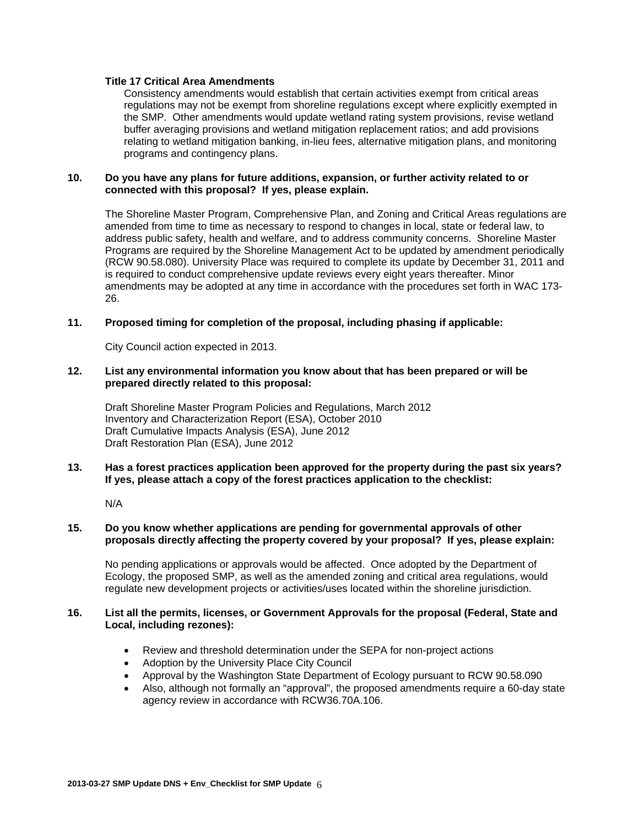#### **Title 17 Critical Area Amendments**

Consistency amendments would establish that certain activities exempt from critical areas regulations may not be exempt from shoreline regulations except where explicitly exempted in the SMP. Other amendments would update wetland rating system provisions, revise wetland buffer averaging provisions and wetland mitigation replacement ratios; and add provisions relating to wetland mitigation banking, in-lieu fees, alternative mitigation plans, and monitoring programs and contingency plans.

#### **10. Do you have any plans for future additions, expansion, or further activity related to or connected with this proposal? If yes, please explain.**

The Shoreline Master Program, Comprehensive Plan, and Zoning and Critical Areas regulations are amended from time to time as necessary to respond to changes in local, state or federal law, to address public safety, health and welfare, and to address community concerns. Shoreline Master Programs are required by the Shoreline Management Act to be updated by amendment periodically (RCW 90.58.080). University Place was required to complete its update by December 31, 2011 and is required to conduct comprehensive update reviews every eight years thereafter. Minor amendments may be adopted at any time in accordance with the procedures set forth in WAC 173- 26.

#### **11. Proposed timing for completion of the proposal, including phasing if applicable:**

City Council action expected in 2013.

#### **12. List any environmental information you know about that has been prepared or will be prepared directly related to this proposal:**

Draft Shoreline Master Program Policies and Regulations, March 2012 Inventory and Characterization Report (ESA), October 2010 Draft Cumulative Impacts Analysis (ESA), June 2012 Draft Restoration Plan (ESA), June 2012

#### **13. Has a forest practices application been approved for the property during the past six years? If yes, please attach a copy of the forest practices application to the checklist:**

N/A

#### **15. Do you know whether applications are pending for governmental approvals of other proposals directly affecting the property covered by your proposal? If yes, please explain:**

No pending applications or approvals would be affected. Once adopted by the Department of Ecology, the proposed SMP, as well as the amended zoning and critical area regulations, would regulate new development projects or activities/uses located within the shoreline jurisdiction.

#### **16. List all the permits, licenses, or Government Approvals for the proposal (Federal, State and Local, including rezones):**

- Review and threshold determination under the SEPA for non-project actions
- Adoption by the University Place City Council
- Approval by the Washington State Department of Ecology pursuant to RCW 90.58.090
- Also, although not formally an "approval", the proposed amendments require a 60-day state agency review in accordance with RCW36.70A.106.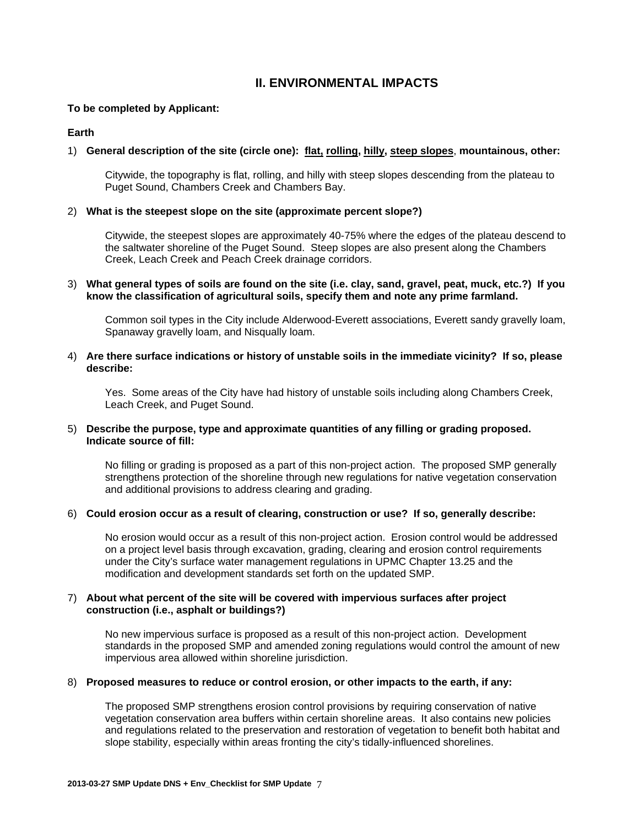## **II. ENVIRONMENTAL IMPACTS**

#### **To be completed by Applicant:**

#### **Earth**

#### 1) **General description of the site (circle one): flat, rolling, hilly, steep slopes**, **mountainous, other:**

Citywide, the topography is flat, rolling, and hilly with steep slopes descending from the plateau to Puget Sound, Chambers Creek and Chambers Bay.

#### 2) **What is the steepest slope on the site (approximate percent slope?)**

Citywide, the steepest slopes are approximately 40-75% where the edges of the plateau descend to the saltwater shoreline of the Puget Sound. Steep slopes are also present along the Chambers Creek, Leach Creek and Peach Creek drainage corridors.

#### 3) **What general types of soils are found on the site (i.e. clay, sand, gravel, peat, muck, etc.?) If you know the classification of agricultural soils, specify them and note any prime farmland.**

Common soil types in the City include Alderwood-Everett associations, Everett sandy gravelly loam, Spanaway gravelly loam, and Nisqually loam.

#### 4) **Are there surface indications or history of unstable soils in the immediate vicinity? If so, please describe:**

Yes. Some areas of the City have had history of unstable soils including along Chambers Creek, Leach Creek, and Puget Sound.

#### 5) **Describe the purpose, type and approximate quantities of any filling or grading proposed. Indicate source of fill:**

No filling or grading is proposed as a part of this non-project action. The proposed SMP generally strengthens protection of the shoreline through new regulations for native vegetation conservation and additional provisions to address clearing and grading.

#### 6) **Could erosion occur as a result of clearing, construction or use? If so, generally describe:**

No erosion would occur as a result of this non-project action. Erosion control would be addressed on a project level basis through excavation, grading, clearing and erosion control requirements under the City's surface water management regulations in UPMC Chapter 13.25 and the modification and development standards set forth on the updated SMP.

#### 7) **About what percent of the site will be covered with impervious surfaces after project construction (i.e., asphalt or buildings?)**

No new impervious surface is proposed as a result of this non-project action. Development standards in the proposed SMP and amended zoning regulations would control the amount of new impervious area allowed within shoreline jurisdiction.

#### 8) **Proposed measures to reduce or control erosion, or other impacts to the earth, if any:**

The proposed SMP strengthens erosion control provisions by requiring conservation of native vegetation conservation area buffers within certain shoreline areas. It also contains new policies and regulations related to the preservation and restoration of vegetation to benefit both habitat and slope stability, especially within areas fronting the city's tidally-influenced shorelines.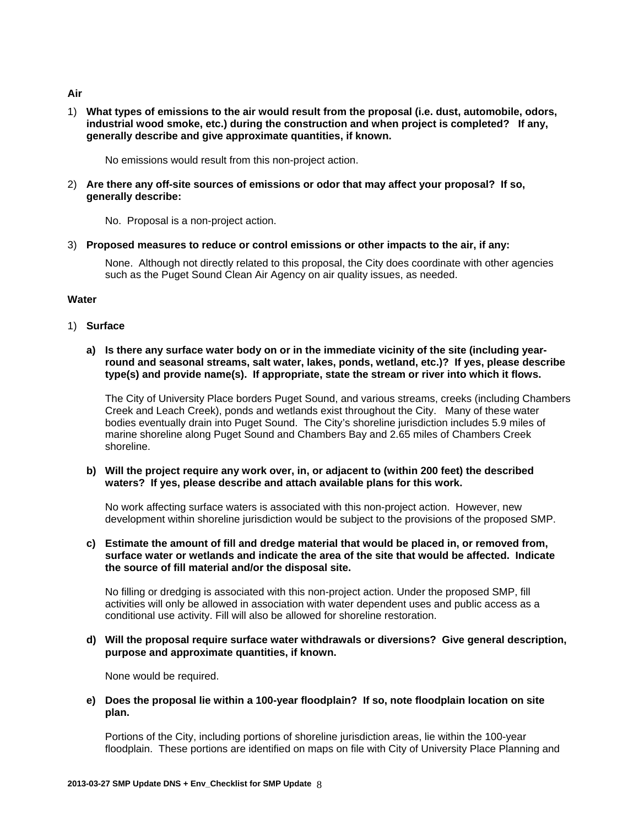#### **Air**

1) **What types of emissions to the air would result from the proposal (i.e. dust, automobile, odors, industrial wood smoke, etc.) during the construction and when project is completed? If any, generally describe and give approximate quantities, if known.** 

No emissions would result from this non-project action.

2) **Are there any off-site sources of emissions or odor that may affect your proposal? If so, generally describe:** 

No. Proposal is a non-project action.

3) **Proposed measures to reduce or control emissions or other impacts to the air, if any:** 

None. Although not directly related to this proposal, the City does coordinate with other agencies such as the Puget Sound Clean Air Agency on air quality issues, as needed.

## **Water**

1) **Surface** 

#### **a) Is there any surface water body on or in the immediate vicinity of the site (including yearround and seasonal streams, salt water, lakes, ponds, wetland, etc.)? If yes, please describe type(s) and provide name(s). If appropriate, state the stream or river into which it flows.**

The City of University Place borders Puget Sound, and various streams, creeks (including Chambers Creek and Leach Creek), ponds and wetlands exist throughout the City. Many of these water bodies eventually drain into Puget Sound. The City's shoreline jurisdiction includes 5.9 miles of marine shoreline along Puget Sound and Chambers Bay and 2.65 miles of Chambers Creek shoreline.

**b) Will the project require any work over, in, or adjacent to (within 200 feet) the described waters? If yes, please describe and attach available plans for this work.** 

No work affecting surface waters is associated with this non-project action. However, new development within shoreline jurisdiction would be subject to the provisions of the proposed SMP.

**c) Estimate the amount of fill and dredge material that would be placed in, or removed from, surface water or wetlands and indicate the area of the site that would be affected. Indicate the source of fill material and/or the disposal site.** 

No filling or dredging is associated with this non-project action. Under the proposed SMP, fill activities will only be allowed in association with water dependent uses and public access as a conditional use activity. Fill will also be allowed for shoreline restoration.

**d) Will the proposal require surface water withdrawals or diversions? Give general description, purpose and approximate quantities, if known.** 

None would be required.

**e) Does the proposal lie within a 100-year floodplain? If so, note floodplain location on site plan.** 

Portions of the City, including portions of shoreline jurisdiction areas, lie within the 100-year floodplain. These portions are identified on maps on file with City of University Place Planning and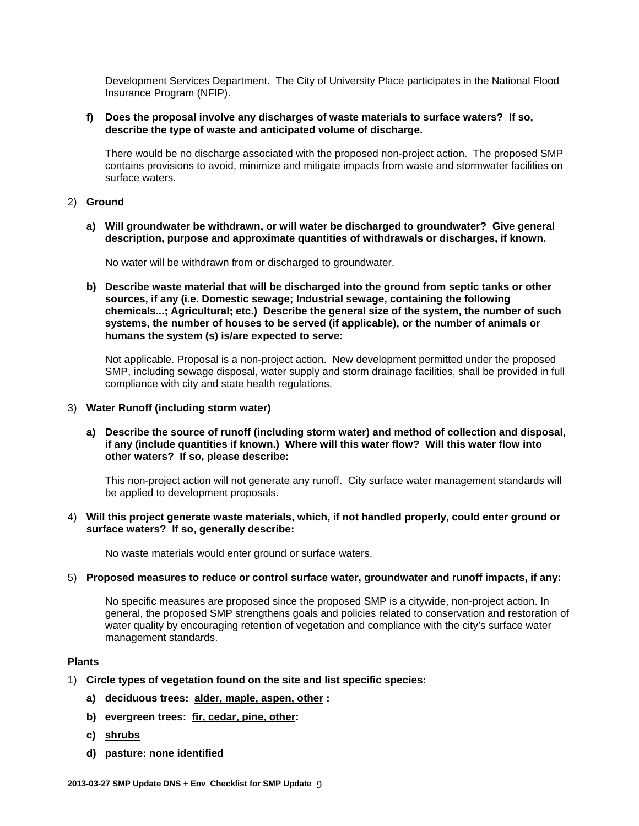Development Services Department. The City of University Place participates in the National Flood Insurance Program (NFIP).

#### **f) Does the proposal involve any discharges of waste materials to surface waters? If so, describe the type of waste and anticipated volume of discharge.**

There would be no discharge associated with the proposed non-project action. The proposed SMP contains provisions to avoid, minimize and mitigate impacts from waste and stormwater facilities on surface waters.

#### 2) **Ground**

**a) Will groundwater be withdrawn, or will water be discharged to groundwater? Give general description, purpose and approximate quantities of withdrawals or discharges, if known.** 

No water will be withdrawn from or discharged to groundwater.

**b) Describe waste material that will be discharged into the ground from septic tanks or other sources, if any (i.e. Domestic sewage; Industrial sewage, containing the following chemicals...; Agricultural; etc.) Describe the general size of the system, the number of such systems, the number of houses to be served (if applicable), or the number of animals or humans the system (s) is/are expected to serve:** 

Not applicable. Proposal is a non-project action. New development permitted under the proposed SMP, including sewage disposal, water supply and storm drainage facilities, shall be provided in full compliance with city and state health regulations.

#### 3) **Water Runoff (including storm water)**

**a) Describe the source of runoff (including storm water) and method of collection and disposal, if any (include quantities if known.) Where will this water flow? Will this water flow into other waters? If so, please describe:** 

This non-project action will not generate any runoff. City surface water management standards will be applied to development proposals.

4) **Will this project generate waste materials, which, if not handled properly, could enter ground or surface waters? If so, generally describe:** 

No waste materials would enter ground or surface waters.

#### 5) **Proposed measures to reduce or control surface water, groundwater and runoff impacts, if any:**

No specific measures are proposed since the proposed SMP is a citywide, non-project action. In general, the proposed SMP strengthens goals and policies related to conservation and restoration of water quality by encouraging retention of vegetation and compliance with the city's surface water management standards.

#### **Plants**

- 1) **Circle types of vegetation found on the site and list specific species:** 
	- **a) deciduous trees: alder, maple, aspen, other :**
	- **b) evergreen trees: fir, cedar, pine, other:**
	- **c) shrubs**
	- **d) pasture: none identified**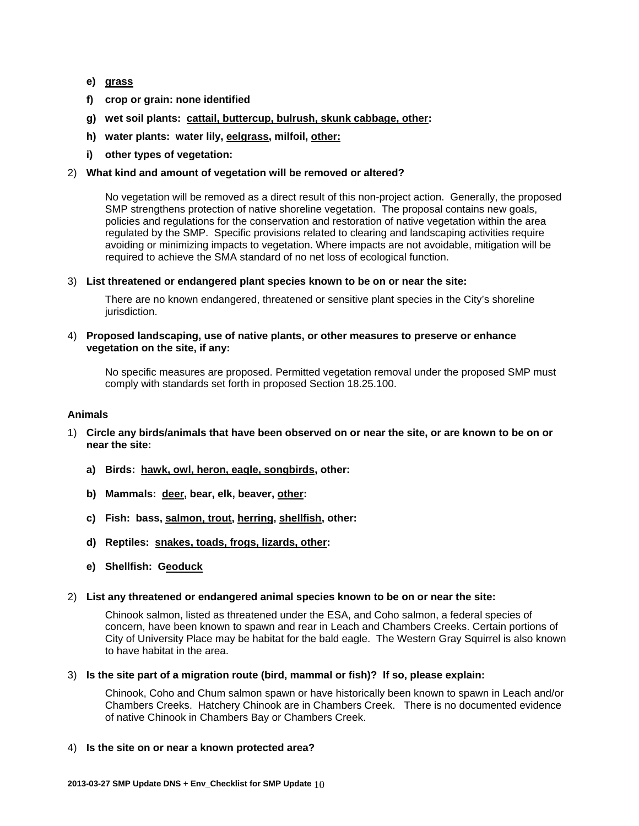- **e) grass**
- **f) crop or grain: none identified**
- **g) wet soil plants: cattail, buttercup, bulrush, skunk cabbage, other:**
- **h) water plants: water lily, eelgrass, milfoil, other:**
- **i) other types of vegetation:**

#### 2) **What kind and amount of vegetation will be removed or altered?**

No vegetation will be removed as a direct result of this non-project action. Generally, the proposed SMP strengthens protection of native shoreline vegetation. The proposal contains new goals, policies and regulations for the conservation and restoration of native vegetation within the area regulated by the SMP. Specific provisions related to clearing and landscaping activities require avoiding or minimizing impacts to vegetation. Where impacts are not avoidable, mitigation will be required to achieve the SMA standard of no net loss of ecological function.

3) **List threatened or endangered plant species known to be on or near the site:**

There are no known endangered, threatened or sensitive plant species in the City's shoreline jurisdiction.

#### 4) **Proposed landscaping, use of native plants, or other measures to preserve or enhance vegetation on the site, if any:**

No specific measures are proposed. Permitted vegetation removal under the proposed SMP must comply with standards set forth in proposed Section 18.25.100.

#### **Animals**

- 1) **Circle any birds/animals that have been observed on or near the site, or are known to be on or near the site:** 
	- **a) Birds: hawk, owl, heron, eagle, songbirds, other:**
	- **b) Mammals: deer, bear, elk, beaver, other:**
	- **c) Fish: bass, salmon, trout, herring, shellfish, other:**
	- **d) Reptiles: snakes, toads, frogs, lizards, other:**
	- **e) Shellfish: Geoduck**
- 2) **List any threatened or endangered animal species known to be on or near the site:**

Chinook salmon, listed as threatened under the ESA, and Coho salmon, a federal species of concern, have been known to spawn and rear in Leach and Chambers Creeks. Certain portions of City of University Place may be habitat for the bald eagle. The Western Gray Squirrel is also known to have habitat in the area.

3) **Is the site part of a migration route (bird, mammal or fish)? If so, please explain:** 

Chinook, Coho and Chum salmon spawn or have historically been known to spawn in Leach and/or Chambers Creeks. Hatchery Chinook are in Chambers Creek. There is no documented evidence of native Chinook in Chambers Bay or Chambers Creek.

4) **Is the site on or near a known protected area?**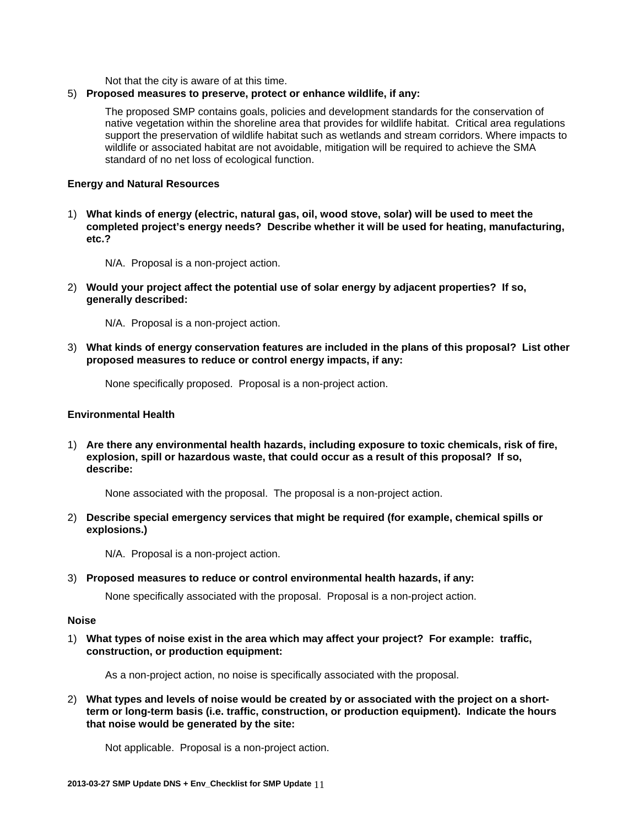Not that the city is aware of at this time.

## 5) **Proposed measures to preserve, protect or enhance wildlife, if any:**

The proposed SMP contains goals, policies and development standards for the conservation of native vegetation within the shoreline area that provides for wildlife habitat. Critical area regulations support the preservation of wildlife habitat such as wetlands and stream corridors. Where impacts to wildlife or associated habitat are not avoidable, mitigation will be required to achieve the SMA standard of no net loss of ecological function.

## **Energy and Natural Resources**

1) **What kinds of energy (electric, natural gas, oil, wood stove, solar) will be used to meet the completed project's energy needs? Describe whether it will be used for heating, manufacturing, etc.?** 

N/A. Proposal is a non-project action.

2) **Would your project affect the potential use of solar energy by adjacent properties? If so, generally described:**

N/A. Proposal is a non-project action.

3) **What kinds of energy conservation features are included in the plans of this proposal? List other proposed measures to reduce or control energy impacts, if any:** 

None specifically proposed. Proposal is a non-project action.

## **Environmental Health**

1) **Are there any environmental health hazards, including exposure to toxic chemicals, risk of fire, explosion, spill or hazardous waste, that could occur as a result of this proposal? If so, describe:** 

None associated with the proposal. The proposal is a non-project action.

2) **Describe special emergency services that might be required (for example, chemical spills or explosions.)** 

N/A. Proposal is a non-project action.

3) **Proposed measures to reduce or control environmental health hazards, if any:**

None specifically associated with the proposal. Proposal is a non-project action.

## **Noise**

1) **What types of noise exist in the area which may affect your project? For example: traffic, construction, or production equipment:** 

As a non-project action, no noise is specifically associated with the proposal.

2) **What types and levels of noise would be created by or associated with the project on a shortterm or long-term basis (i.e. traffic, construction, or production equipment). Indicate the hours that noise would be generated by the site:** 

Not applicable. Proposal is a non-project action.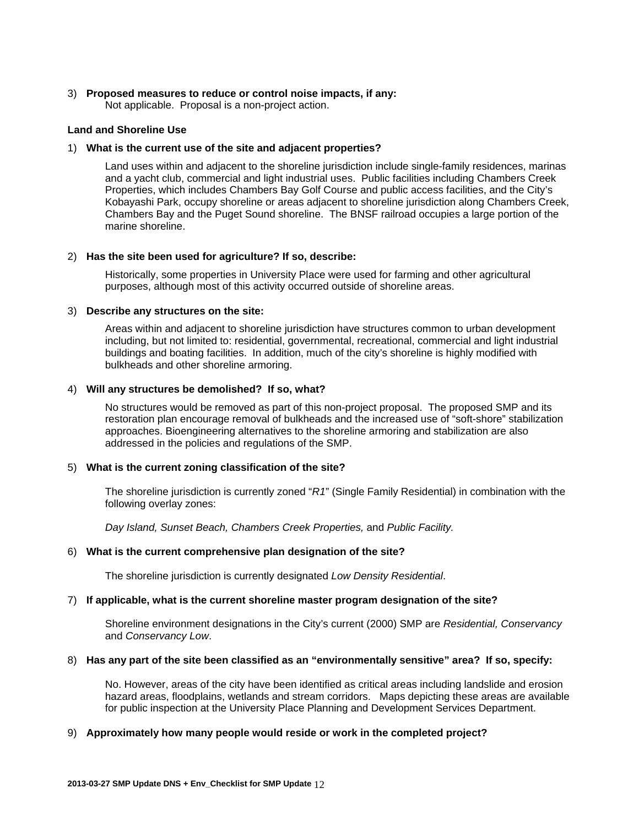#### 3) **Proposed measures to reduce or control noise impacts, if any:**

Not applicable. Proposal is a non-project action.

#### **Land and Shoreline Use**

#### 1) **What is the current use of the site and adjacent properties?**

Land uses within and adjacent to the shoreline jurisdiction include single-family residences, marinas and a yacht club, commercial and light industrial uses. Public facilities including Chambers Creek Properties, which includes Chambers Bay Golf Course and public access facilities, and the City's Kobayashi Park, occupy shoreline or areas adjacent to shoreline jurisdiction along Chambers Creek, Chambers Bay and the Puget Sound shoreline. The BNSF railroad occupies a large portion of the marine shoreline.

#### 2) **Has the site been used for agriculture? If so, describe:**

Historically, some properties in University Place were used for farming and other agricultural purposes, although most of this activity occurred outside of shoreline areas.

#### 3) **Describe any structures on the site:**

Areas within and adjacent to shoreline jurisdiction have structures common to urban development including, but not limited to: residential, governmental, recreational, commercial and light industrial buildings and boating facilities. In addition, much of the city's shoreline is highly modified with bulkheads and other shoreline armoring.

#### 4) **Will any structures be demolished? If so, what?**

No structures would be removed as part of this non-project proposal. The proposed SMP and its restoration plan encourage removal of bulkheads and the increased use of "soft-shore" stabilization approaches. Bioengineering alternatives to the shoreline armoring and stabilization are also addressed in the policies and regulations of the SMP.

#### 5) **What is the current zoning classification of the site?**

The shoreline jurisdiction is currently zoned "*R1*" (Single Family Residential) in combination with the following overlay zones:

*Day Island, Sunset Beach, Chambers Creek Properties,* and *Public Facility.*

#### 6) **What is the current comprehensive plan designation of the site?**

The shoreline jurisdiction is currently designated *Low Density Residential*.

#### 7) **If applicable, what is the current shoreline master program designation of the site?**

Shoreline environment designations in the City's current (2000) SMP are *Residential, Conservancy* and *Conservancy Low*.

#### 8) **Has any part of the site been classified as an "environmentally sensitive" area? If so, specify:**

No. However, areas of the city have been identified as critical areas including landslide and erosion hazard areas, floodplains, wetlands and stream corridors. Maps depicting these areas are available for public inspection at the University Place Planning and Development Services Department.

#### 9) **Approximately how many people would reside or work in the completed project?**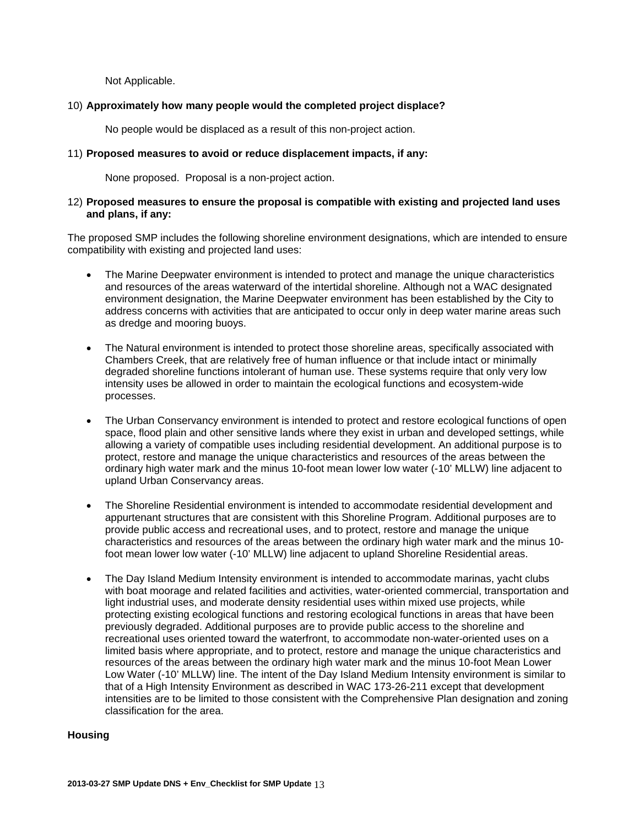Not Applicable.

#### 10) **Approximately how many people would the completed project displace?**

No people would be displaced as a result of this non-project action.

#### 11) **Proposed measures to avoid or reduce displacement impacts, if any:**

None proposed. Proposal is a non-project action.

#### 12) **Proposed measures to ensure the proposal is compatible with existing and projected land uses and plans, if any:**

The proposed SMP includes the following shoreline environment designations, which are intended to ensure compatibility with existing and projected land uses:

- The Marine Deepwater environment is intended to protect and manage the unique characteristics and resources of the areas waterward of the intertidal shoreline. Although not a WAC designated environment designation, the Marine Deepwater environment has been established by the City to address concerns with activities that are anticipated to occur only in deep water marine areas such as dredge and mooring buoys.
- The Natural environment is intended to protect those shoreline areas, specifically associated with Chambers Creek, that are relatively free of human influence or that include intact or minimally degraded shoreline functions intolerant of human use. These systems require that only very low intensity uses be allowed in order to maintain the ecological functions and ecosystem-wide processes.
- The Urban Conservancy environment is intended to protect and restore ecological functions of open space, flood plain and other sensitive lands where they exist in urban and developed settings, while allowing a variety of compatible uses including residential development. An additional purpose is to protect, restore and manage the unique characteristics and resources of the areas between the ordinary high water mark and the minus 10-foot mean lower low water (-10' MLLW) line adjacent to upland Urban Conservancy areas.
- The Shoreline Residential environment is intended to accommodate residential development and appurtenant structures that are consistent with this Shoreline Program. Additional purposes are to provide public access and recreational uses, and to protect, restore and manage the unique characteristics and resources of the areas between the ordinary high water mark and the minus 10 foot mean lower low water (-10' MLLW) line adjacent to upland Shoreline Residential areas.
- The Day Island Medium Intensity environment is intended to accommodate marinas, yacht clubs with boat moorage and related facilities and activities, water-oriented commercial, transportation and light industrial uses, and moderate density residential uses within mixed use projects, while protecting existing ecological functions and restoring ecological functions in areas that have been previously degraded. Additional purposes are to provide public access to the shoreline and recreational uses oriented toward the waterfront, to accommodate non-water-oriented uses on a limited basis where appropriate, and to protect, restore and manage the unique characteristics and resources of the areas between the ordinary high water mark and the minus 10-foot Mean Lower Low Water (-10' MLLW) line. The intent of the Day Island Medium Intensity environment is similar to that of a High Intensity Environment as described in WAC 173-26-211 except that development intensities are to be limited to those consistent with the Comprehensive Plan designation and zoning classification for the area.

## **Housing**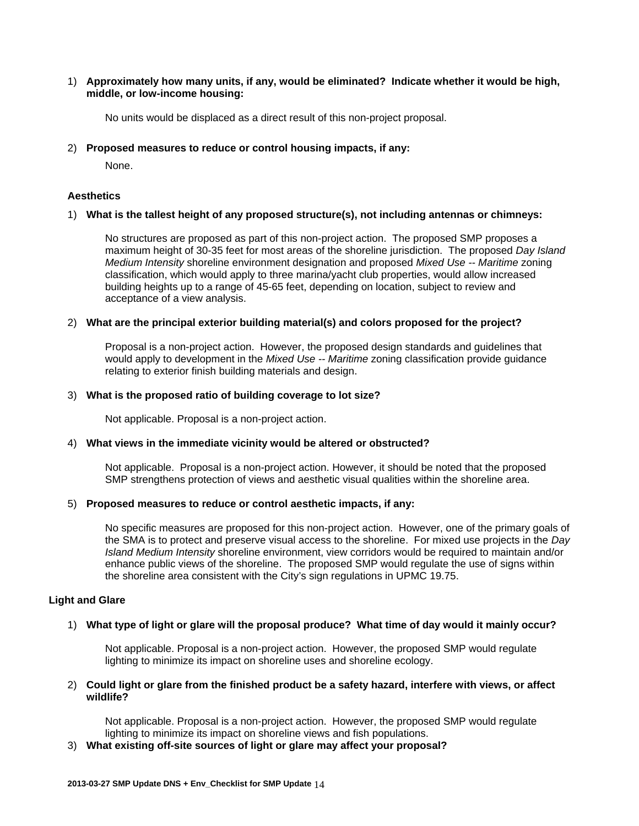#### 1) **Approximately how many units, if any, would be eliminated? Indicate whether it would be high, middle, or low-income housing:**

No units would be displaced as a direct result of this non-project proposal.

#### 2) **Proposed measures to reduce or control housing impacts, if any:**

None.

#### **Aesthetics**

#### 1) **What is the tallest height of any proposed structure(s), not including antennas or chimneys:**

No structures are proposed as part of this non-project action. The proposed SMP proposes a maximum height of 30-35 feet for most areas of the shoreline jurisdiction. The proposed *Day Island Medium Intensity* shoreline environment designation and proposed *Mixed Use -- Maritime* zoning classification, which would apply to three marina/yacht club properties, would allow increased building heights up to a range of 45-65 feet, depending on location, subject to review and acceptance of a view analysis.

#### 2) **What are the principal exterior building material(s) and colors proposed for the project?**

Proposal is a non-project action. However, the proposed design standards and guidelines that would apply to development in the *Mixed Use -- Maritime* zoning classification provide guidance relating to exterior finish building materials and design.

#### 3) **What is the proposed ratio of building coverage to lot size?**

Not applicable. Proposal is a non-project action.

#### 4) **What views in the immediate vicinity would be altered or obstructed?**

Not applicable. Proposal is a non-project action. However, it should be noted that the proposed SMP strengthens protection of views and aesthetic visual qualities within the shoreline area.

#### 5) **Proposed measures to reduce or control aesthetic impacts, if any:**

No specific measures are proposed for this non-project action. However, one of the primary goals of the SMA is to protect and preserve visual access to the shoreline. For mixed use projects in the *Day Island Medium Intensity* shoreline environment, view corridors would be required to maintain and/or enhance public views of the shoreline. The proposed SMP would regulate the use of signs within the shoreline area consistent with the City's sign regulations in UPMC 19.75.

#### **Light and Glare**

#### 1) **What type of light or glare will the proposal produce? What time of day would it mainly occur?**

Not applicable. Proposal is a non-project action. However, the proposed SMP would regulate lighting to minimize its impact on shoreline uses and shoreline ecology.

#### 2) **Could light or glare from the finished product be a safety hazard, interfere with views, or affect wildlife?**

Not applicable. Proposal is a non-project action. However, the proposed SMP would regulate lighting to minimize its impact on shoreline views and fish populations.

#### 3) **What existing off-site sources of light or glare may affect your proposal?**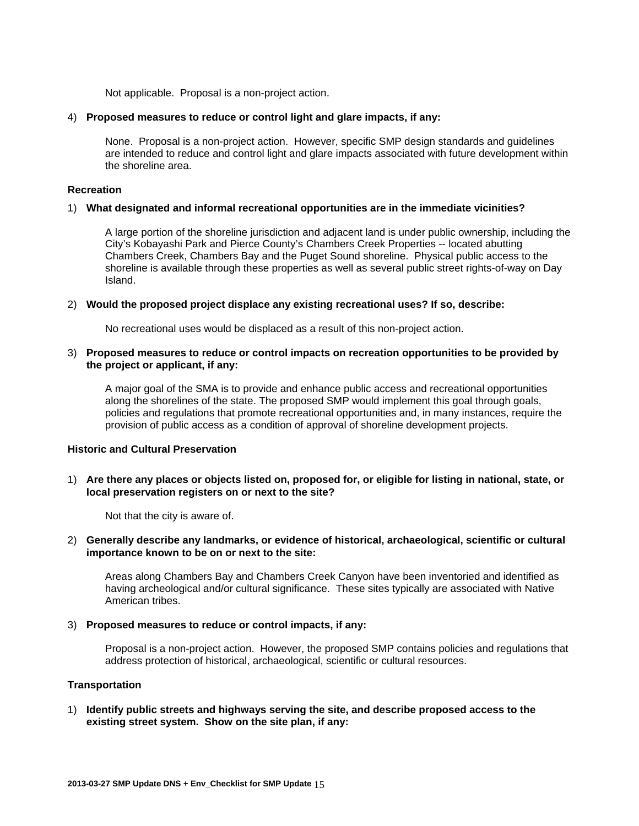Not applicable. Proposal is a non-project action.

#### 4) **Proposed measures to reduce or control light and glare impacts, if any:**

None. Proposal is a non-project action. However, specific SMP design standards and guidelines are intended to reduce and control light and glare impacts associated with future development within the shoreline area.

#### **Recreation**

#### 1) **What designated and informal recreational opportunities are in the immediate vicinities?**

A large portion of the shoreline jurisdiction and adjacent land is under public ownership, including the City's Kobayashi Park and Pierce County's Chambers Creek Properties -- located abutting Chambers Creek, Chambers Bay and the Puget Sound shoreline. Physical public access to the shoreline is available through these properties as well as several public street rights-of-way on Day Island.

#### 2) **Would the proposed project displace any existing recreational uses? If so, describe:**

No recreational uses would be displaced as a result of this non-project action.

#### 3) **Proposed measures to reduce or control impacts on recreation opportunities to be provided by the project or applicant, if any:**

A major goal of the SMA is to provide and enhance public access and recreational opportunities along the shorelines of the state. The proposed SMP would implement this goal through goals, policies and regulations that promote recreational opportunities and, in many instances, require the provision of public access as a condition of approval of shoreline development projects.

#### **Historic and Cultural Preservation**

1) **Are there any places or objects listed on, proposed for, or eligible for listing in national, state, or local preservation registers on or next to the site?** 

Not that the city is aware of.

#### 2) **Generally describe any landmarks, or evidence of historical, archaeological, scientific or cultural importance known to be on or next to the site:**

Areas along Chambers Bay and Chambers Creek Canyon have been inventoried and identified as having archeological and/or cultural significance. These sites typically are associated with Native American tribes.

#### 3) **Proposed measures to reduce or control impacts, if any:**

Proposal is a non-project action. However, the proposed SMP contains policies and regulations that address protection of historical, archaeological, scientific or cultural resources.

#### **Transportation**

1) **Identify public streets and highways serving the site, and describe proposed access to the existing street system. Show on the site plan, if any:**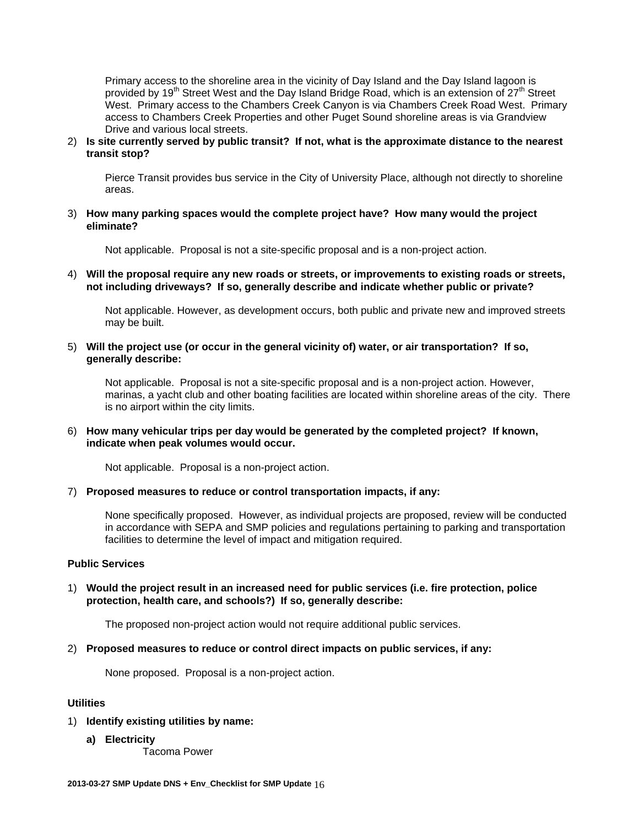Primary access to the shoreline area in the vicinity of Day Island and the Day Island lagoon is provided by 19<sup>th</sup> Street West and the Day Island Bridge Road, which is an extension of 27<sup>th</sup> Street West. Primary access to the Chambers Creek Canyon is via Chambers Creek Road West. Primary access to Chambers Creek Properties and other Puget Sound shoreline areas is via Grandview Drive and various local streets.

#### 2) **Is site currently served by public transit? If not, what is the approximate distance to the nearest transit stop?**

Pierce Transit provides bus service in the City of University Place, although not directly to shoreline areas.

3) **How many parking spaces would the complete project have? How many would the project eliminate?** 

Not applicable. Proposal is not a site-specific proposal and is a non-project action.

4) **Will the proposal require any new roads or streets, or improvements to existing roads or streets, not including driveways? If so, generally describe and indicate whether public or private?** 

Not applicable. However, as development occurs, both public and private new and improved streets may be built.

5) **Will the project use (or occur in the general vicinity of) water, or air transportation? If so, generally describe:** 

Not applicable. Proposal is not a site-specific proposal and is a non-project action. However, marinas, a yacht club and other boating facilities are located within shoreline areas of the city. There is no airport within the city limits.

#### 6) **How many vehicular trips per day would be generated by the completed project? If known, indicate when peak volumes would occur.**

Not applicable. Proposal is a non-project action.

#### 7) **Proposed measures to reduce or control transportation impacts, if any:**

None specifically proposed. However, as individual projects are proposed, review will be conducted in accordance with SEPA and SMP policies and regulations pertaining to parking and transportation facilities to determine the level of impact and mitigation required.

#### **Public Services**

#### 1) **Would the project result in an increased need for public services (i.e. fire protection, police protection, health care, and schools?) If so, generally describe:**

The proposed non-project action would not require additional public services.

#### 2) **Proposed measures to reduce or control direct impacts on public services, if any:**

None proposed. Proposal is a non-project action.

#### **Utilities**

#### 1) **Identify existing utilities by name:**

**a) Electricity** 

Tacoma Power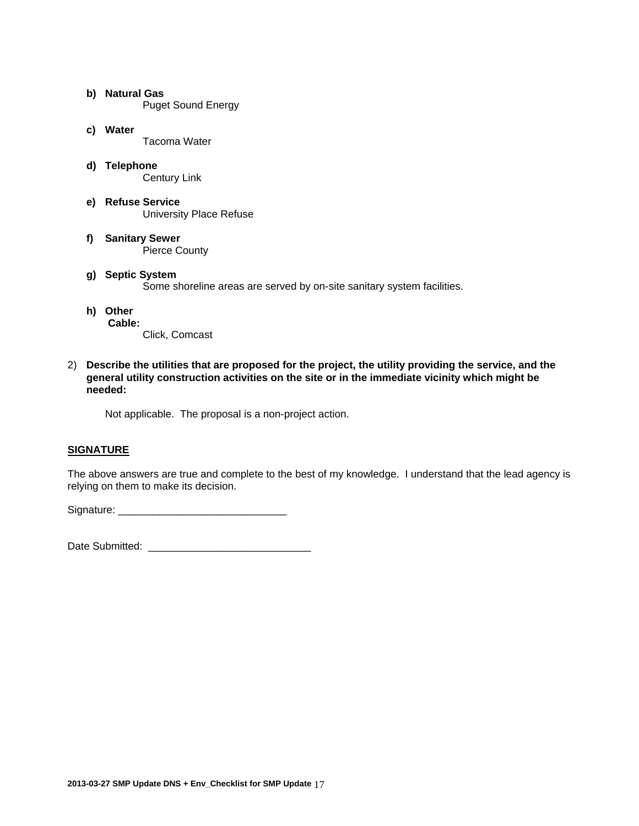- **b) Natural Gas**  Puget Sound Energy
- **c) Water**  Tacoma Water
- **d) Telephone**  Century Link
- **e) Refuse Service**  University Place Refuse
- **f) Sanitary Sewer**  Pierce County
- **g) Septic System**  Some shoreline areas are served by on-site sanitary system facilities.
- **h) Other Cable:** 
	- - Click, Comcast
- 2) **Describe the utilities that are proposed for the project, the utility providing the service, and the general utility construction activities on the site or in the immediate vicinity which might be needed:**

Not applicable. The proposal is a non-project action.

## **SIGNATURE**

The above answers are true and complete to the best of my knowledge. I understand that the lead agency is relying on them to make its decision.

Signature: \_\_\_\_\_\_\_\_\_\_\_\_\_\_\_\_\_\_\_\_\_\_\_\_\_\_\_\_\_

Date Submitted: **We are all that the Submitted** of  $\mathbb{R}$  and  $\mathbb{R}$  are  $\mathbb{R}$  and  $\mathbb{R}$  are  $\mathbb{R}$  and  $\mathbb{R}$  are  $\mathbb{R}$  and  $\mathbb{R}$  are  $\mathbb{R}$  and  $\mathbb{R}$  are  $\mathbb{R}$  and  $\mathbb{R}$  are  $\mathbb{R}$  and  $\$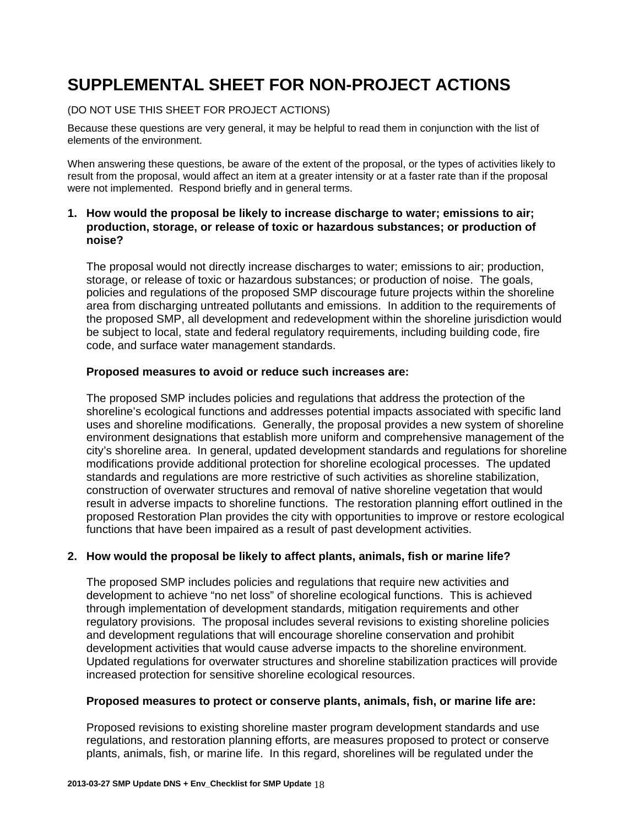## **SUPPLEMENTAL SHEET FOR NON-PROJECT ACTIONS**

## (DO NOT USE THIS SHEET FOR PROJECT ACTIONS)

Because these questions are very general, it may be helpful to read them in conjunction with the list of elements of the environment.

When answering these questions, be aware of the extent of the proposal, or the types of activities likely to result from the proposal, would affect an item at a greater intensity or at a faster rate than if the proposal were not implemented. Respond briefly and in general terms.

## **1. How would the proposal be likely to increase discharge to water; emissions to air; production, storage, or release of toxic or hazardous substances; or production of noise?**

The proposal would not directly increase discharges to water; emissions to air; production, storage, or release of toxic or hazardous substances; or production of noise. The goals, policies and regulations of the proposed SMP discourage future projects within the shoreline area from discharging untreated pollutants and emissions. In addition to the requirements of the proposed SMP, all development and redevelopment within the shoreline jurisdiction would be subject to local, state and federal regulatory requirements, including building code, fire code, and surface water management standards.

## **Proposed measures to avoid or reduce such increases are:**

The proposed SMP includes policies and regulations that address the protection of the shoreline's ecological functions and addresses potential impacts associated with specific land uses and shoreline modifications. Generally, the proposal provides a new system of shoreline environment designations that establish more uniform and comprehensive management of the city's shoreline area. In general, updated development standards and regulations for shoreline modifications provide additional protection for shoreline ecological processes. The updated standards and regulations are more restrictive of such activities as shoreline stabilization, construction of overwater structures and removal of native shoreline vegetation that would result in adverse impacts to shoreline functions. The restoration planning effort outlined in the proposed Restoration Plan provides the city with opportunities to improve or restore ecological functions that have been impaired as a result of past development activities.

## **2. How would the proposal be likely to affect plants, animals, fish or marine life?**

The proposed SMP includes policies and regulations that require new activities and development to achieve "no net loss" of shoreline ecological functions. This is achieved through implementation of development standards, mitigation requirements and other regulatory provisions. The proposal includes several revisions to existing shoreline policies and development regulations that will encourage shoreline conservation and prohibit development activities that would cause adverse impacts to the shoreline environment. Updated regulations for overwater structures and shoreline stabilization practices will provide increased protection for sensitive shoreline ecological resources.

## **Proposed measures to protect or conserve plants, animals, fish, or marine life are:**

Proposed revisions to existing shoreline master program development standards and use regulations, and restoration planning efforts, are measures proposed to protect or conserve plants, animals, fish, or marine life. In this regard, shorelines will be regulated under the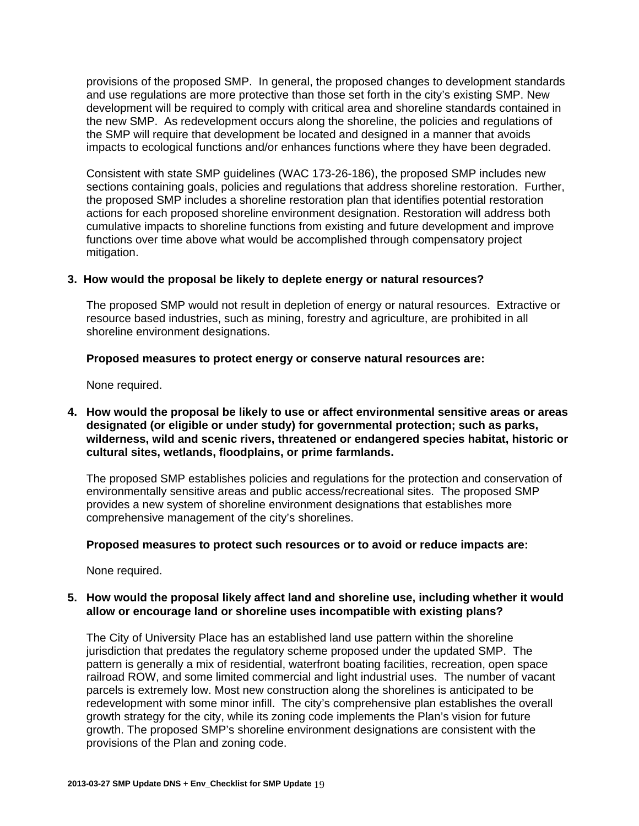provisions of the proposed SMP. In general, the proposed changes to development standards and use regulations are more protective than those set forth in the city's existing SMP. New development will be required to comply with critical area and shoreline standards contained in the new SMP. As redevelopment occurs along the shoreline, the policies and regulations of the SMP will require that development be located and designed in a manner that avoids impacts to ecological functions and/or enhances functions where they have been degraded.

Consistent with state SMP guidelines (WAC 173-26-186), the proposed SMP includes new sections containing goals, policies and regulations that address shoreline restoration. Further, the proposed SMP includes a shoreline restoration plan that identifies potential restoration actions for each proposed shoreline environment designation. Restoration will address both cumulative impacts to shoreline functions from existing and future development and improve functions over time above what would be accomplished through compensatory project mitigation.

## **3. How would the proposal be likely to deplete energy or natural resources?**

The proposed SMP would not result in depletion of energy or natural resources. Extractive or resource based industries, such as mining, forestry and agriculture, are prohibited in all shoreline environment designations.

## **Proposed measures to protect energy or conserve natural resources are:**

None required.

**4. How would the proposal be likely to use or affect environmental sensitive areas or areas designated (or eligible or under study) for governmental protection; such as parks, wilderness, wild and scenic rivers, threatened or endangered species habitat, historic or cultural sites, wetlands, floodplains, or prime farmlands.** 

The proposed SMP establishes policies and regulations for the protection and conservation of environmentally sensitive areas and public access/recreational sites. The proposed SMP provides a new system of shoreline environment designations that establishes more comprehensive management of the city's shorelines.

## **Proposed measures to protect such resources or to avoid or reduce impacts are:**

None required.

## **5. How would the proposal likely affect land and shoreline use, including whether it would allow or encourage land or shoreline uses incompatible with existing plans?**

The City of University Place has an established land use pattern within the shoreline jurisdiction that predates the regulatory scheme proposed under the updated SMP. The pattern is generally a mix of residential, waterfront boating facilities, recreation, open space railroad ROW, and some limited commercial and light industrial uses. The number of vacant parcels is extremely low. Most new construction along the shorelines is anticipated to be redevelopment with some minor infill. The city's comprehensive plan establishes the overall growth strategy for the city, while its zoning code implements the Plan's vision for future growth. The proposed SMP's shoreline environment designations are consistent with the provisions of the Plan and zoning code.